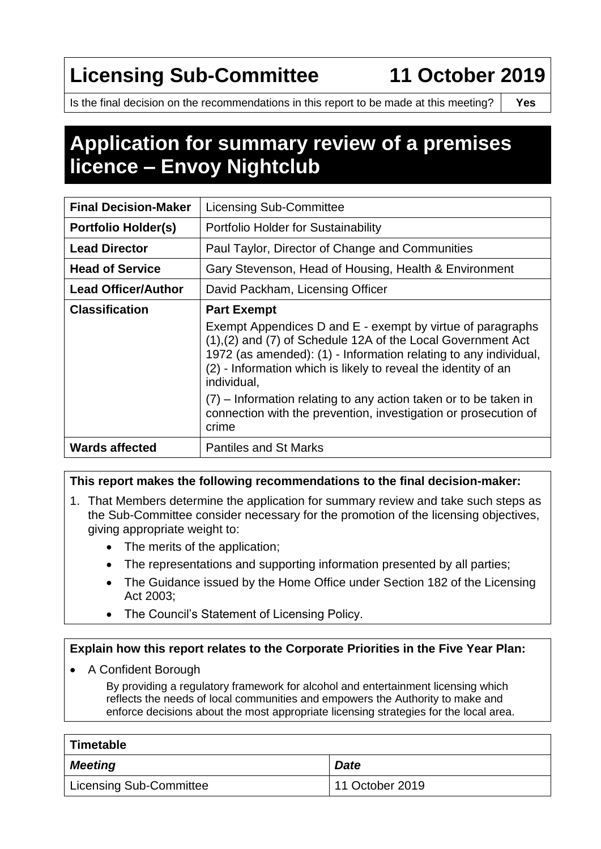# **Licensing Sub-Committee 11 October 2019**

Is the final decision on the recommendations in this report to be made at this meeting? **Yes**

## **Application for summary review of a premises licence – Envoy Nightclub**

| <b>Final Decision-Maker</b> | <b>Licensing Sub-Committee</b>                                                                                                                                                                                                                                                                                                                                                                                                                        |
|-----------------------------|-------------------------------------------------------------------------------------------------------------------------------------------------------------------------------------------------------------------------------------------------------------------------------------------------------------------------------------------------------------------------------------------------------------------------------------------------------|
| <b>Portfolio Holder(s)</b>  | Portfolio Holder for Sustainability                                                                                                                                                                                                                                                                                                                                                                                                                   |
| <b>Lead Director</b>        | Paul Taylor, Director of Change and Communities                                                                                                                                                                                                                                                                                                                                                                                                       |
| <b>Head of Service</b>      | Gary Stevenson, Head of Housing, Health & Environment                                                                                                                                                                                                                                                                                                                                                                                                 |
| <b>Lead Officer/Author</b>  | David Packham, Licensing Officer                                                                                                                                                                                                                                                                                                                                                                                                                      |
| <b>Classification</b>       | <b>Part Exempt</b><br>Exempt Appendices D and E - exempt by virtue of paragraphs<br>(1), (2) and (7) of Schedule 12A of the Local Government Act<br>1972 (as amended): (1) - Information relating to any individual,<br>(2) - Information which is likely to reveal the identity of an<br>individual,<br>(7) – Information relating to any action taken or to be taken in<br>connection with the prevention, investigation or prosecution of<br>crime |
| <b>Wards affected</b>       | <b>Pantiles and St Marks</b>                                                                                                                                                                                                                                                                                                                                                                                                                          |

#### **This report makes the following recommendations to the final decision-maker:**

- 1. That Members determine the application for summary review and take such steps as the Sub-Committee consider necessary for the promotion of the licensing objectives, giving appropriate weight to:
	- The merits of the application;
	- The representations and supporting information presented by all parties;
	- The Guidance issued by the Home Office under Section 182 of the Licensing Act 2003;
	- The Council's Statement of Licensing Policy.

#### **Explain how this report relates to the Corporate Priorities in the Five Year Plan:**

A Confident Borough

By providing a regulatory framework for alcohol and entertainment licensing which reflects the needs of local communities and empowers the Authority to make and enforce decisions about the most appropriate licensing strategies for the local area.

| <b>Timetable</b>               |                 |  |  |  |
|--------------------------------|-----------------|--|--|--|
| Meeting                        | <b>Date</b>     |  |  |  |
| <b>Licensing Sub-Committee</b> | 11 October 2019 |  |  |  |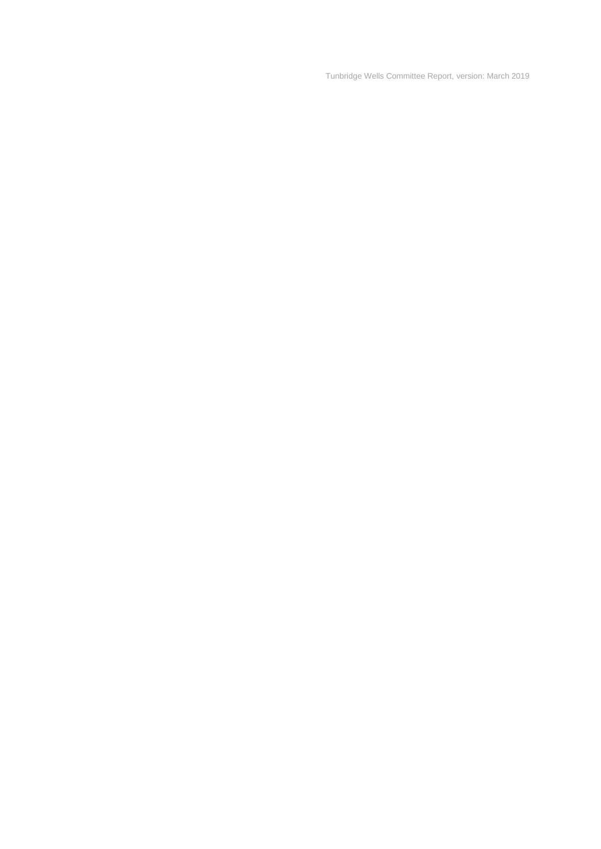Tunbridge Wells Committee Report, version: March 2019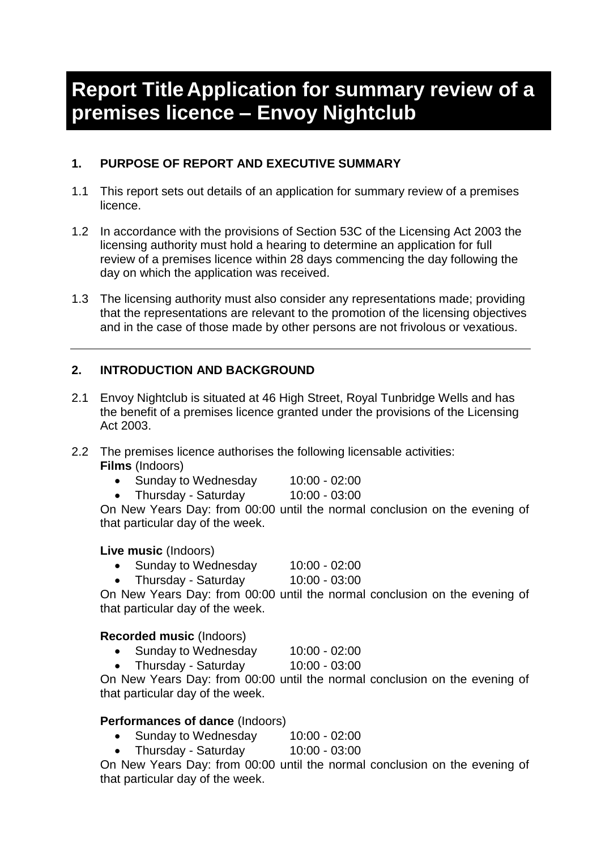## **Report Title Application for summary review of a premises licence – Envoy Nightclub**

## **1. PURPOSE OF REPORT AND EXECUTIVE SUMMARY**

- 1.1 This report sets out details of an application for summary review of a premises licence.
- 1.2 In accordance with the provisions of Section 53C of the Licensing Act 2003 the licensing authority must hold a hearing to determine an application for full review of a premises licence within 28 days commencing the day following the day on which the application was received.
- 1.3 The licensing authority must also consider any representations made; providing that the representations are relevant to the promotion of the licensing objectives and in the case of those made by other persons are not frivolous or vexatious.

## **2. INTRODUCTION AND BACKGROUND**

- 2.1 Envoy Nightclub is situated at 46 High Street, Royal Tunbridge Wells and has the benefit of a premises licence granted under the provisions of the Licensing Act 2003.
- 2.2 The premises licence authorises the following licensable activities: **Films** (Indoors)
	- Sunday to Wednesday 10:00 02:00
	- Thursday Saturday 10:00 03:00

On New Years Day: from 00:00 until the normal conclusion on the evening of that particular day of the week.

#### **Live music** (Indoors)

- Sunday to Wednesday 10:00 02:00
- Thursday Saturday 10:00 03:00

On New Years Day: from 00:00 until the normal conclusion on the evening of that particular day of the week.

#### **Recorded music** (Indoors)

- Sunday to Wednesday 10:00 02:00
- Thursday Saturday 10:00 03:00

On New Years Day: from 00:00 until the normal conclusion on the evening of that particular day of the week.

#### **Performances of dance** (Indoors)

- Sunday to Wednesday 10:00 02:00
- Thursday Saturday 10:00 03:00

On New Years Day: from 00:00 until the normal conclusion on the evening of that particular day of the week.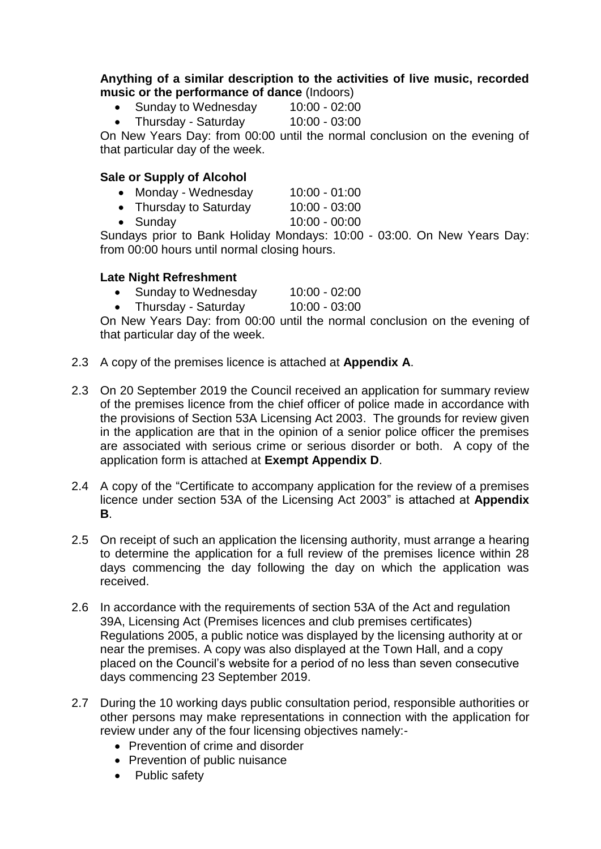#### **Anything of a similar description to the activities of live music, recorded music or the performance of dance** (Indoors)

• Sunday to Wednesday 10:00 - 02:00

Thursday - Saturday 10:00 - 03:00

On New Years Day: from 00:00 until the normal conclusion on the evening of that particular day of the week.

#### **Sale or Supply of Alcohol**

- Monday Wednesday 10:00 01:00
- Thursday to Saturday 10:00 03:00
- Sunday 10:00 00:00

Sundays prior to Bank Holiday Mondays: 10:00 - 03:00. On New Years Day: from 00:00 hours until normal closing hours.

#### **Late Night Refreshment**

- Sunday to Wednesday 10:00 02:00
- Thursday Saturday 10:00 03:00

On New Years Day: from 00:00 until the normal conclusion on the evening of that particular day of the week.

- 2.3 A copy of the premises licence is attached at **Appendix A**.
- 2.3 On 20 September 2019 the Council received an application for summary review of the premises licence from the chief officer of police made in accordance with the provisions of Section 53A Licensing Act 2003. The grounds for review given in the application are that in the opinion of a senior police officer the premises are associated with serious crime or serious disorder or both. A copy of the application form is attached at **Exempt Appendix D**.
- 2.4 A copy of the "Certificate to accompany application for the review of a premises licence under section 53A of the Licensing Act 2003" is attached at **Appendix B**.
- 2.5 On receipt of such an application the licensing authority, must arrange a hearing to determine the application for a full review of the premises licence within 28 days commencing the day following the day on which the application was received.
- 2.6 In accordance with the requirements of section 53A of the Act and regulation 39A, Licensing Act (Premises licences and club premises certificates) Regulations 2005, a public notice was displayed by the licensing authority at or near the premises. A copy was also displayed at the Town Hall, and a copy placed on the Council's website for a period of no less than seven consecutive days commencing 23 September 2019.
- 2.7 During the 10 working days public consultation period, responsible authorities or other persons may make representations in connection with the application for review under any of the four licensing objectives namely:-
	- Prevention of crime and disorder
	- Prevention of public nuisance
	- Public safety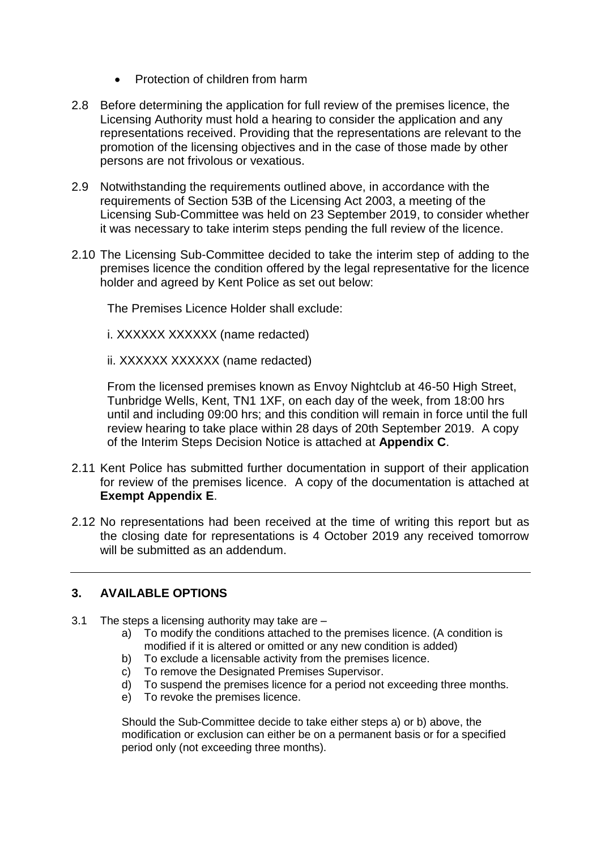- Protection of children from harm
- 2.8 Before determining the application for full review of the premises licence, the Licensing Authority must hold a hearing to consider the application and any representations received. Providing that the representations are relevant to the promotion of the licensing objectives and in the case of those made by other persons are not frivolous or vexatious.
- 2.9 Notwithstanding the requirements outlined above, in accordance with the requirements of Section 53B of the Licensing Act 2003, a meeting of the Licensing Sub-Committee was held on 23 September 2019, to consider whether it was necessary to take interim steps pending the full review of the licence.
- 2.10 The Licensing Sub-Committee decided to take the interim step of adding to the premises licence the condition offered by the legal representative for the licence holder and agreed by Kent Police as set out below:

The Premises Licence Holder shall exclude:

- i. XXXXXX XXXXXX (name redacted)
- ii. XXXXXX XXXXXX (name redacted)

From the licensed premises known as Envoy Nightclub at 46-50 High Street, Tunbridge Wells, Kent, TN1 1XF, on each day of the week, from 18:00 hrs until and including 09:00 hrs; and this condition will remain in force until the full review hearing to take place within 28 days of 20th September 2019. A copy of the Interim Steps Decision Notice is attached at **Appendix C**.

- 2.11 Kent Police has submitted further documentation in support of their application for review of the premises licence. A copy of the documentation is attached at **Exempt Appendix E**.
- 2.12 No representations had been received at the time of writing this report but as the closing date for representations is 4 October 2019 any received tomorrow will be submitted as an addendum.

## **3. AVAILABLE OPTIONS**

- 3.1 The steps a licensing authority may take are
	- a) To modify the conditions attached to the premises licence. (A condition is modified if it is altered or omitted or any new condition is added)
	- b) To exclude a licensable activity from the premises licence.
	- c) To remove the Designated Premises Supervisor.<br>d) To suspend the premises licence for a period not
	- To suspend the premises licence for a period not exceeding three months.
	- e) To revoke the premises licence.

Should the Sub-Committee decide to take either steps a) or b) above, the modification or exclusion can either be on a permanent basis or for a specified period only (not exceeding three months).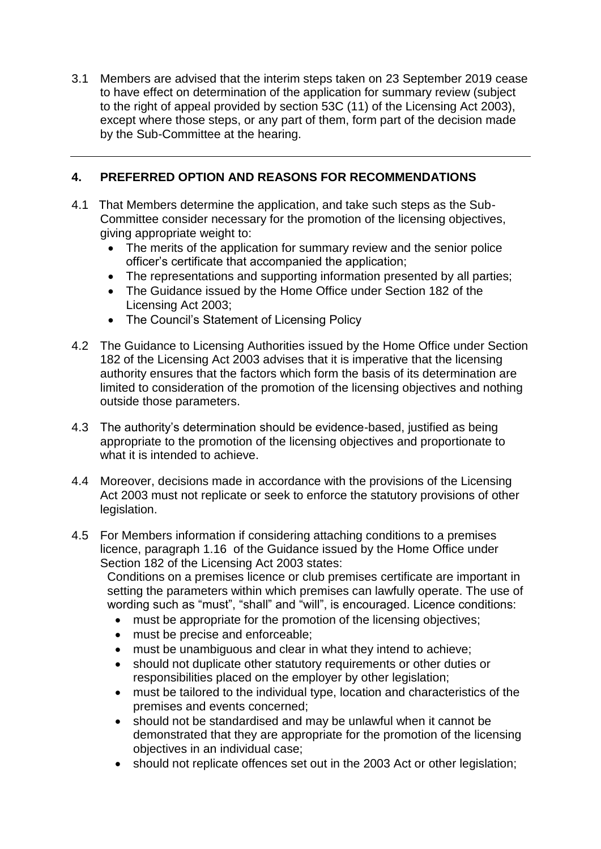3.1 Members are advised that the interim steps taken on 23 September 2019 cease to have effect on determination of the application for summary review (subject to the right of appeal provided by section 53C (11) of the Licensing Act 2003), except where those steps, or any part of them, form part of the decision made by the Sub-Committee at the hearing.

## **4. PREFERRED OPTION AND REASONS FOR RECOMMENDATIONS**

- 4.1 That Members determine the application, and take such steps as the Sub-Committee consider necessary for the promotion of the licensing objectives, giving appropriate weight to:
	- The merits of the application for summary review and the senior police officer's certificate that accompanied the application;
	- The representations and supporting information presented by all parties:
	- The Guidance issued by the Home Office under Section 182 of the Licensing Act 2003;
	- The Council's Statement of Licensing Policy
- 4.2 The Guidance to Licensing Authorities issued by the Home Office under Section 182 of the Licensing Act 2003 advises that it is imperative that the licensing authority ensures that the factors which form the basis of its determination are limited to consideration of the promotion of the licensing objectives and nothing outside those parameters.
- 4.3 The authority's determination should be evidence-based, justified as being appropriate to the promotion of the licensing objectives and proportionate to what it is intended to achieve.
- 4.4 Moreover, decisions made in accordance with the provisions of the Licensing Act 2003 must not replicate or seek to enforce the statutory provisions of other legislation.
- 4.5 For Members information if considering attaching conditions to a premises licence, paragraph 1.16 of the Guidance issued by the Home Office under Section 182 of the Licensing Act 2003 states:

Conditions on a premises licence or club premises certificate are important in setting the parameters within which premises can lawfully operate. The use of wording such as "must", "shall" and "will", is encouraged. Licence conditions:

- must be appropriate for the promotion of the licensing objectives;
- must be precise and enforceable;
- must be unambiguous and clear in what they intend to achieve;
- should not duplicate other statutory requirements or other duties or responsibilities placed on the employer by other legislation;
- must be tailored to the individual type, location and characteristics of the premises and events concerned;
- should not be standardised and may be unlawful when it cannot be demonstrated that they are appropriate for the promotion of the licensing objectives in an individual case;
- should not replicate offences set out in the 2003 Act or other legislation;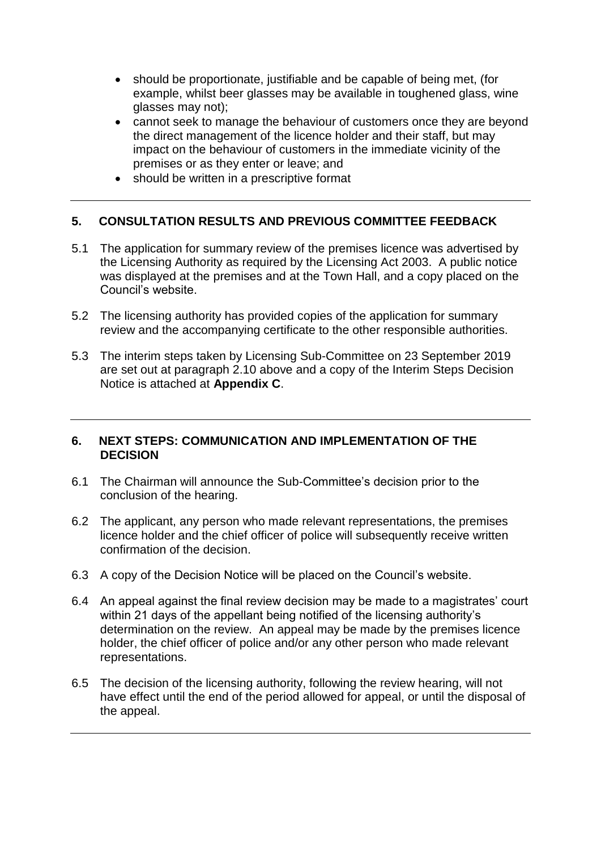- should be proportionate, justifiable and be capable of being met, (for example, whilst beer glasses may be available in toughened glass, wine glasses may not);
- cannot seek to manage the behaviour of customers once they are beyond the direct management of the licence holder and their staff, but may impact on the behaviour of customers in the immediate vicinity of the premises or as they enter or leave; and
- should be written in a prescriptive format

## **5. CONSULTATION RESULTS AND PREVIOUS COMMITTEE FEEDBACK**

- 5.1 The application for summary review of the premises licence was advertised by the Licensing Authority as required by the Licensing Act 2003. A public notice was displayed at the premises and at the Town Hall, and a copy placed on the Council's website.
- 5.2 The licensing authority has provided copies of the application for summary review and the accompanying certificate to the other responsible authorities.
- 5.3 The interim steps taken by Licensing Sub-Committee on 23 September 2019 are set out at paragraph 2.10 above and a copy of the Interim Steps Decision Notice is attached at **Appendix C**.

#### **6. NEXT STEPS: COMMUNICATION AND IMPLEMENTATION OF THE DECISION**

- 6.1 The Chairman will announce the Sub-Committee's decision prior to the conclusion of the hearing.
- 6.2 The applicant, any person who made relevant representations, the premises licence holder and the chief officer of police will subsequently receive written confirmation of the decision.
- 6.3 A copy of the Decision Notice will be placed on the Council's website.
- 6.4 An appeal against the final review decision may be made to a magistrates' court within 21 days of the appellant being notified of the licensing authority's determination on the review. An appeal may be made by the premises licence holder, the chief officer of police and/or any other person who made relevant representations.
- 6.5 The decision of the licensing authority, following the review hearing, will not have effect until the end of the period allowed for appeal, or until the disposal of the appeal.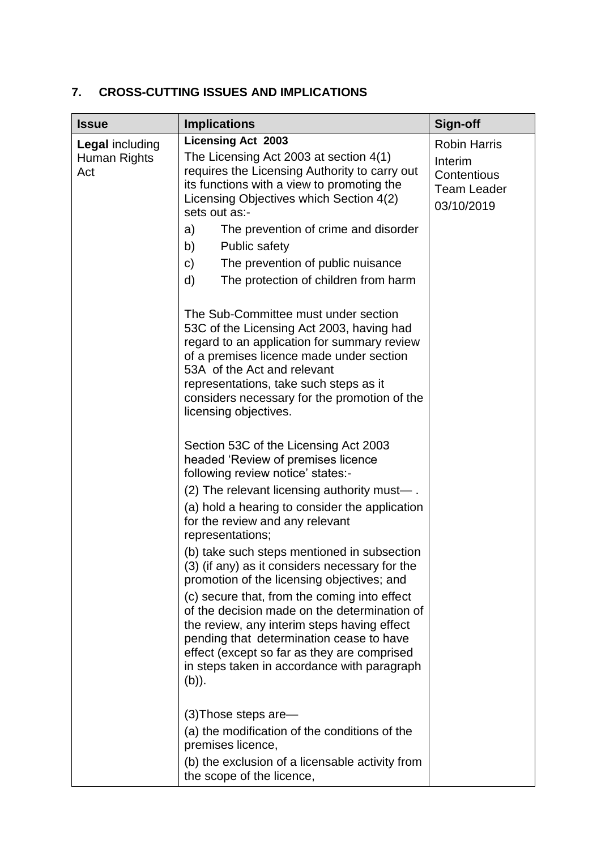## **7. CROSS-CUTTING ISSUES AND IMPLICATIONS**

| <b>Issue</b>                                  | <b>Implications</b>                                                                                                                                                                                                                                                                                                                                                                                                                                                                                                                                                                                                                                                                                                                                                                                                                                                                                                                                                                                                                                            | Sign-off                                                                          |
|-----------------------------------------------|----------------------------------------------------------------------------------------------------------------------------------------------------------------------------------------------------------------------------------------------------------------------------------------------------------------------------------------------------------------------------------------------------------------------------------------------------------------------------------------------------------------------------------------------------------------------------------------------------------------------------------------------------------------------------------------------------------------------------------------------------------------------------------------------------------------------------------------------------------------------------------------------------------------------------------------------------------------------------------------------------------------------------------------------------------------|-----------------------------------------------------------------------------------|
| <b>Legal including</b><br>Human Rights<br>Act | <b>Licensing Act 2003</b><br>The Licensing Act 2003 at section 4(1)<br>requires the Licensing Authority to carry out<br>its functions with a view to promoting the<br>Licensing Objectives which Section 4(2)<br>sets out as:-<br>The prevention of crime and disorder<br>a)                                                                                                                                                                                                                                                                                                                                                                                                                                                                                                                                                                                                                                                                                                                                                                                   | <b>Robin Harris</b><br>Interim<br>Contentious<br><b>Team Leader</b><br>03/10/2019 |
|                                               | b)<br><b>Public safety</b><br>C)<br>The prevention of public nuisance<br>d)<br>The protection of children from harm                                                                                                                                                                                                                                                                                                                                                                                                                                                                                                                                                                                                                                                                                                                                                                                                                                                                                                                                            |                                                                                   |
|                                               | The Sub-Committee must under section<br>53C of the Licensing Act 2003, having had<br>regard to an application for summary review<br>of a premises licence made under section<br>53A of the Act and relevant<br>representations, take such steps as it<br>considers necessary for the promotion of the<br>licensing objectives.<br>Section 53C of the Licensing Act 2003<br>headed 'Review of premises licence<br>following review notice' states:-<br>(2) The relevant licensing authority must—.<br>(a) hold a hearing to consider the application<br>for the review and any relevant<br>representations;<br>(b) take such steps mentioned in subsection<br>(3) (if any) as it considers necessary for the<br>promotion of the licensing objectives; and<br>(c) secure that, from the coming into effect<br>of the decision made on the determination of<br>the review, any interim steps having effect<br>pending that determination cease to have<br>effect (except so far as they are comprised<br>in steps taken in accordance with paragraph<br>$(b)$ ). |                                                                                   |
|                                               | $(3)$ Those steps are-<br>(a) the modification of the conditions of the<br>premises licence,<br>(b) the exclusion of a licensable activity from<br>the scope of the licence,                                                                                                                                                                                                                                                                                                                                                                                                                                                                                                                                                                                                                                                                                                                                                                                                                                                                                   |                                                                                   |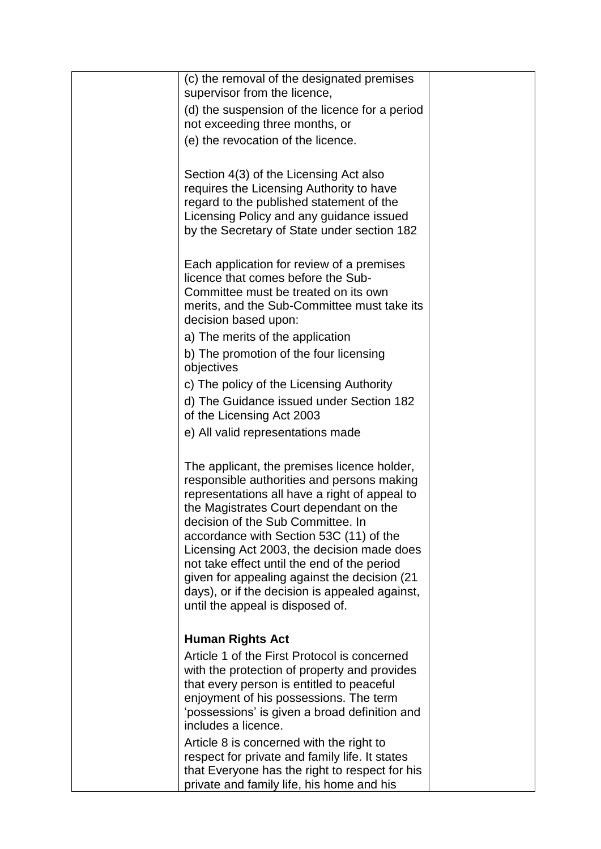| (c) the removal of the designated premises<br>supervisor from the licence,                                                                                                                                                                                                                                                                                                                                                                                                                               |  |
|----------------------------------------------------------------------------------------------------------------------------------------------------------------------------------------------------------------------------------------------------------------------------------------------------------------------------------------------------------------------------------------------------------------------------------------------------------------------------------------------------------|--|
| (d) the suspension of the licence for a period<br>not exceeding three months, or                                                                                                                                                                                                                                                                                                                                                                                                                         |  |
| (e) the revocation of the licence.                                                                                                                                                                                                                                                                                                                                                                                                                                                                       |  |
|                                                                                                                                                                                                                                                                                                                                                                                                                                                                                                          |  |
| Section 4(3) of the Licensing Act also                                                                                                                                                                                                                                                                                                                                                                                                                                                                   |  |
| requires the Licensing Authority to have<br>regard to the published statement of the                                                                                                                                                                                                                                                                                                                                                                                                                     |  |
| Licensing Policy and any guidance issued                                                                                                                                                                                                                                                                                                                                                                                                                                                                 |  |
| by the Secretary of State under section 182                                                                                                                                                                                                                                                                                                                                                                                                                                                              |  |
| Each application for review of a premises                                                                                                                                                                                                                                                                                                                                                                                                                                                                |  |
| licence that comes before the Sub-                                                                                                                                                                                                                                                                                                                                                                                                                                                                       |  |
| Committee must be treated on its own                                                                                                                                                                                                                                                                                                                                                                                                                                                                     |  |
| merits, and the Sub-Committee must take its<br>decision based upon:                                                                                                                                                                                                                                                                                                                                                                                                                                      |  |
| a) The merits of the application                                                                                                                                                                                                                                                                                                                                                                                                                                                                         |  |
| b) The promotion of the four licensing<br>objectives                                                                                                                                                                                                                                                                                                                                                                                                                                                     |  |
| c) The policy of the Licensing Authority                                                                                                                                                                                                                                                                                                                                                                                                                                                                 |  |
| d) The Guidance issued under Section 182<br>of the Licensing Act 2003                                                                                                                                                                                                                                                                                                                                                                                                                                    |  |
| e) All valid representations made                                                                                                                                                                                                                                                                                                                                                                                                                                                                        |  |
| The applicant, the premises licence holder,<br>responsible authorities and persons making<br>representations all have a right of appeal to<br>the Magistrates Court dependant on the<br>decision of the Sub Committee. In<br>accordance with Section 53C (11) of the<br>Licensing Act 2003, the decision made does<br>not take effect until the end of the period<br>given for appealing against the decision (21)<br>days), or if the decision is appealed against,<br>until the appeal is disposed of. |  |
| <b>Human Rights Act</b>                                                                                                                                                                                                                                                                                                                                                                                                                                                                                  |  |
| Article 1 of the First Protocol is concerned                                                                                                                                                                                                                                                                                                                                                                                                                                                             |  |
| with the protection of property and provides<br>that every person is entitled to peaceful                                                                                                                                                                                                                                                                                                                                                                                                                |  |
| enjoyment of his possessions. The term                                                                                                                                                                                                                                                                                                                                                                                                                                                                   |  |
| 'possessions' is given a broad definition and<br>includes a licence.                                                                                                                                                                                                                                                                                                                                                                                                                                     |  |
| Article 8 is concerned with the right to                                                                                                                                                                                                                                                                                                                                                                                                                                                                 |  |
| respect for private and family life. It states<br>that Everyone has the right to respect for his                                                                                                                                                                                                                                                                                                                                                                                                         |  |
| private and family life, his home and his                                                                                                                                                                                                                                                                                                                                                                                                                                                                |  |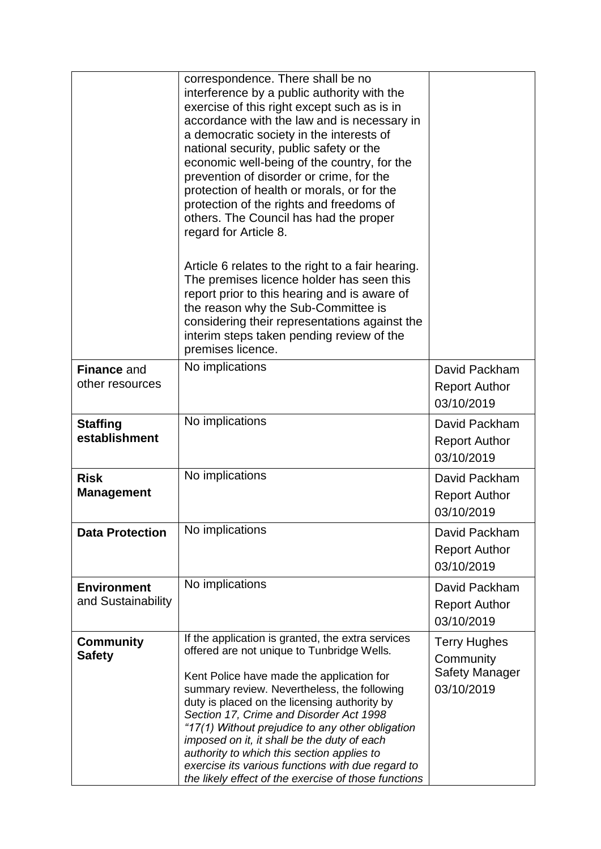|                                          | correspondence. There shall be no<br>interference by a public authority with the<br>exercise of this right except such as is in<br>accordance with the law and is necessary in<br>a democratic society in the interests of<br>national security, public safety or the<br>economic well-being of the country, for the<br>prevention of disorder or crime, for the<br>protection of health or morals, or for the<br>protection of the rights and freedoms of<br>others. The Council has had the proper<br>regard for Article 8.<br>Article 6 relates to the right to a fair hearing.<br>The premises licence holder has seen this<br>report prior to this hearing and is aware of<br>the reason why the Sub-Committee is |                                                                         |
|------------------------------------------|------------------------------------------------------------------------------------------------------------------------------------------------------------------------------------------------------------------------------------------------------------------------------------------------------------------------------------------------------------------------------------------------------------------------------------------------------------------------------------------------------------------------------------------------------------------------------------------------------------------------------------------------------------------------------------------------------------------------|-------------------------------------------------------------------------|
|                                          | considering their representations against the<br>interim steps taken pending review of the<br>premises licence.                                                                                                                                                                                                                                                                                                                                                                                                                                                                                                                                                                                                        |                                                                         |
| <b>Finance and</b><br>other resources    | No implications                                                                                                                                                                                                                                                                                                                                                                                                                                                                                                                                                                                                                                                                                                        | David Packham<br><b>Report Author</b><br>03/10/2019                     |
| <b>Staffing</b><br>establishment         | No implications                                                                                                                                                                                                                                                                                                                                                                                                                                                                                                                                                                                                                                                                                                        | David Packham<br><b>Report Author</b><br>03/10/2019                     |
| <b>Risk</b><br><b>Management</b>         | No implications                                                                                                                                                                                                                                                                                                                                                                                                                                                                                                                                                                                                                                                                                                        | David Packham<br><b>Report Author</b><br>03/10/2019                     |
| <b>Data Protection</b>                   | No implications                                                                                                                                                                                                                                                                                                                                                                                                                                                                                                                                                                                                                                                                                                        | David Packham<br><b>Report Author</b><br>03/10/2019                     |
| <b>Environment</b><br>and Sustainability | No implications                                                                                                                                                                                                                                                                                                                                                                                                                                                                                                                                                                                                                                                                                                        | David Packham<br><b>Report Author</b><br>03/10/2019                     |
| <b>Community</b><br><b>Safety</b>        | If the application is granted, the extra services<br>offered are not unique to Tunbridge Wells.<br>Kent Police have made the application for<br>summary review. Nevertheless, the following<br>duty is placed on the licensing authority by<br>Section 17, Crime and Disorder Act 1998<br>"17(1) Without prejudice to any other obligation<br>imposed on it, it shall be the duty of each<br>authority to which this section applies to<br>exercise its various functions with due regard to<br>the likely effect of the exercise of those functions                                                                                                                                                                   | <b>Terry Hughes</b><br>Community<br><b>Safety Manager</b><br>03/10/2019 |